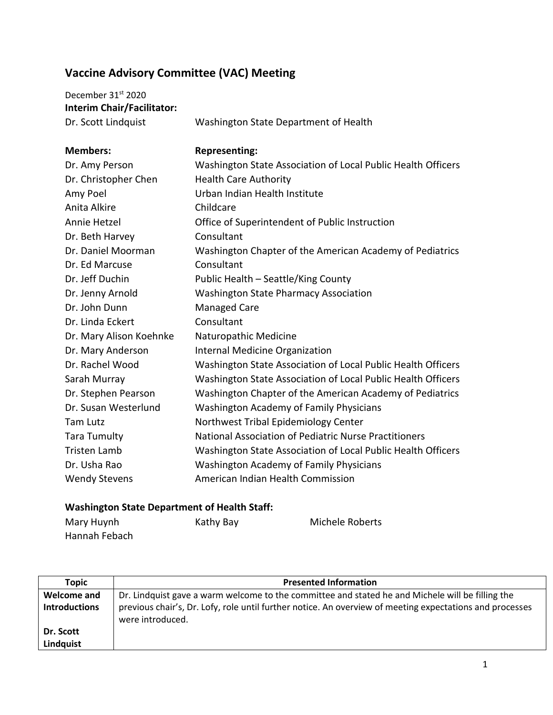## **Vaccine Advisory Committee (VAC) Meeting**

| December 31 <sup>st</sup> 2020    |                                                              |
|-----------------------------------|--------------------------------------------------------------|
| <b>Interim Chair/Facilitator:</b> |                                                              |
| Dr. Scott Lindquist               | Washington State Department of Health                        |
| <b>Members:</b>                   | <b>Representing:</b>                                         |
| Dr. Amy Person                    | Washington State Association of Local Public Health Officers |
| Dr. Christopher Chen              | <b>Health Care Authority</b>                                 |
| Amy Poel                          | Urban Indian Health Institute                                |
| Anita Alkire                      | Childcare                                                    |
| Annie Hetzel                      | Office of Superintendent of Public Instruction               |
| Dr. Beth Harvey                   | Consultant                                                   |
| Dr. Daniel Moorman                | Washington Chapter of the American Academy of Pediatrics     |
| Dr. Ed Marcuse                    | Consultant                                                   |
| Dr. Jeff Duchin                   | Public Health - Seattle/King County                          |
| Dr. Jenny Arnold                  | <b>Washington State Pharmacy Association</b>                 |
| Dr. John Dunn                     | <b>Managed Care</b>                                          |
| Dr. Linda Eckert                  | Consultant                                                   |
| Dr. Mary Alison Koehnke           | Naturopathic Medicine                                        |
| Dr. Mary Anderson                 | Internal Medicine Organization                               |
| Dr. Rachel Wood                   | Washington State Association of Local Public Health Officers |
| Sarah Murray                      | Washington State Association of Local Public Health Officers |
| Dr. Stephen Pearson               | Washington Chapter of the American Academy of Pediatrics     |
| Dr. Susan Westerlund              | Washington Academy of Family Physicians                      |
| <b>Tam Lutz</b>                   | Northwest Tribal Epidemiology Center                         |
| <b>Tara Tumulty</b>               | National Association of Pediatric Nurse Practitioners        |
| <b>Tristen Lamb</b>               | Washington State Association of Local Public Health Officers |
| Dr. Usha Rao                      | <b>Washington Academy of Family Physicians</b>               |
| <b>Wendy Stevens</b>              | American Indian Health Commission                            |
|                                   |                                                              |

## **Washington State Department of Health Staff:**

| Mary Huynh    | Kathy Bay | Michele Roberts |
|---------------|-----------|-----------------|
| Hannah Febach |           |                 |

| Topic                | <b>Presented Information</b>                                                                                                 |
|----------------------|------------------------------------------------------------------------------------------------------------------------------|
| <b>Welcome and</b>   | Dr. Lindquist gave a warm welcome to the committee and stated he and Michele will be filling the                             |
| <b>Introductions</b> | previous chair's, Dr. Lofy, role until further notice. An overview of meeting expectations and processes<br>were introduced. |
| Dr. Scott            |                                                                                                                              |
| Lindquist            |                                                                                                                              |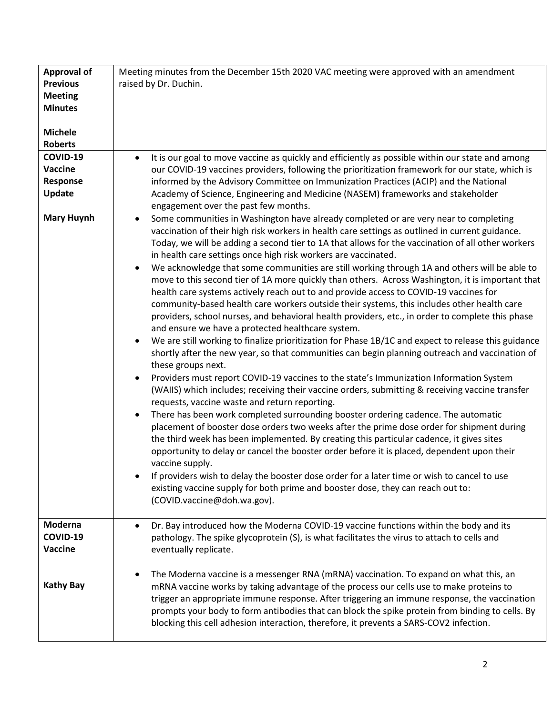| <b>Approval of</b> | Meeting minutes from the December 15th 2020 VAC meeting were approved with an amendment                              |
|--------------------|----------------------------------------------------------------------------------------------------------------------|
| <b>Previous</b>    | raised by Dr. Duchin.                                                                                                |
| <b>Meeting</b>     |                                                                                                                      |
| <b>Minutes</b>     |                                                                                                                      |
| <b>Michele</b>     |                                                                                                                      |
| <b>Roberts</b>     |                                                                                                                      |
| COVID-19           | It is our goal to move vaccine as quickly and efficiently as possible within our state and among<br>$\bullet$        |
| Vaccine            | our COVID-19 vaccines providers, following the prioritization framework for our state, which is                      |
| Response           | informed by the Advisory Committee on Immunization Practices (ACIP) and the National                                 |
| Update             | Academy of Science, Engineering and Medicine (NASEM) frameworks and stakeholder                                      |
|                    | engagement over the past few months.                                                                                 |
| <b>Mary Huynh</b>  | Some communities in Washington have already completed or are very near to completing<br>$\bullet$                    |
|                    | vaccination of their high risk workers in health care settings as outlined in current guidance.                      |
|                    | Today, we will be adding a second tier to 1A that allows for the vaccination of all other workers                    |
|                    | in health care settings once high risk workers are vaccinated.                                                       |
|                    | We acknowledge that some communities are still working through 1A and others will be able to<br>$\bullet$            |
|                    | move to this second tier of 1A more quickly than others. Across Washington, it is important that                     |
|                    | health care systems actively reach out to and provide access to COVID-19 vaccines for                                |
|                    | community-based health care workers outside their systems, this includes other health care                           |
|                    | providers, school nurses, and behavioral health providers, etc., in order to complete this phase                     |
|                    | and ensure we have a protected healthcare system.                                                                    |
|                    | We are still working to finalize prioritization for Phase 1B/1C and expect to release this guidance<br>$\bullet$     |
|                    | shortly after the new year, so that communities can begin planning outreach and vaccination of<br>these groups next. |
|                    | Providers must report COVID-19 vaccines to the state's Immunization Information System<br>$\bullet$                  |
|                    | (WAIIS) which includes; receiving their vaccine orders, submitting & receiving vaccine transfer                      |
|                    | requests, vaccine waste and return reporting.                                                                        |
|                    | There has been work completed surrounding booster ordering cadence. The automatic<br>$\bullet$                       |
|                    | placement of booster dose orders two weeks after the prime dose order for shipment during                            |
|                    | the third week has been implemented. By creating this particular cadence, it gives sites                             |
|                    | opportunity to delay or cancel the booster order before it is placed, dependent upon their                           |
|                    | vaccine supply.                                                                                                      |
|                    | If providers wish to delay the booster dose order for a later time or wish to cancel to use                          |
|                    | existing vaccine supply for both prime and booster dose, they can reach out to:                                      |
|                    | (COVID.vaccine@doh.wa.gov).                                                                                          |
|                    |                                                                                                                      |
| Moderna            | Dr. Bay introduced how the Moderna COVID-19 vaccine functions within the body and its<br>$\bullet$                   |
| COVID-19           | pathology. The spike glycoprotein (S), is what facilitates the virus to attach to cells and                          |
| Vaccine            | eventually replicate.                                                                                                |
|                    | The Moderna vaccine is a messenger RNA (mRNA) vaccination. To expand on what this, an<br>$\bullet$                   |
| <b>Kathy Bay</b>   | mRNA vaccine works by taking advantage of the process our cells use to make proteins to                              |
|                    | trigger an appropriate immune response. After triggering an immune response, the vaccination                         |
|                    | prompts your body to form antibodies that can block the spike protein from binding to cells. By                      |
|                    | blocking this cell adhesion interaction, therefore, it prevents a SARS-COV2 infection.                               |
|                    |                                                                                                                      |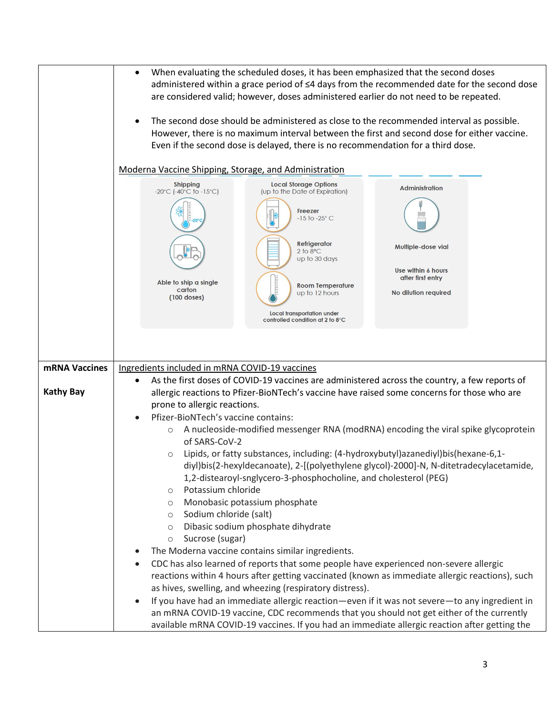|                  | When evaluating the scheduled doses, it has been emphasized that the second doses<br>$\bullet$<br>administered within a grace period of ≤4 days from the recommended date for the second dose<br>are considered valid; however, doses administered earlier do not need to be repeated.<br>The second dose should be administered as close to the recommended interval as possible.<br>$\bullet$<br>However, there is no maximum interval between the first and second dose for either vaccine.<br>Even if the second dose is delayed, there is no recommendation for a third dose. |
|------------------|------------------------------------------------------------------------------------------------------------------------------------------------------------------------------------------------------------------------------------------------------------------------------------------------------------------------------------------------------------------------------------------------------------------------------------------------------------------------------------------------------------------------------------------------------------------------------------|
|                  | Moderna Vaccine Shipping, Storage, and Administration                                                                                                                                                                                                                                                                                                                                                                                                                                                                                                                              |
|                  | <b>Local Storage Options</b><br><b>Shipping</b><br><b>Administration</b><br>$-20^{\circ}$ C (-40 $^{\circ}$ C to -15 $^{\circ}$ C)<br>(up to the Date of Expiration)<br>Freezer<br>$-15$ to $-25^{\circ}$ C                                                                                                                                                                                                                                                                                                                                                                        |
|                  | Refrigerator<br>Multiple-dose vial<br>$2$ to $8^{\circ}$ C<br>up to 30 days                                                                                                                                                                                                                                                                                                                                                                                                                                                                                                        |
|                  | Use within 6 hours<br>after first entry<br>Able to ship a single<br><b>Room Temperature</b>                                                                                                                                                                                                                                                                                                                                                                                                                                                                                        |
|                  | carton<br>No dilution required<br>up to 12 hours<br>$(100$ doses)                                                                                                                                                                                                                                                                                                                                                                                                                                                                                                                  |
|                  | Local transportation under<br>controlled condition at 2 to 8°C                                                                                                                                                                                                                                                                                                                                                                                                                                                                                                                     |
|                  |                                                                                                                                                                                                                                                                                                                                                                                                                                                                                                                                                                                    |
|                  |                                                                                                                                                                                                                                                                                                                                                                                                                                                                                                                                                                                    |
| mRNA Vaccines    | Ingredients included in mRNA COVID-19 vaccines                                                                                                                                                                                                                                                                                                                                                                                                                                                                                                                                     |
| <b>Kathy Bay</b> | As the first doses of COVID-19 vaccines are administered across the country, a few reports of<br>allergic reactions to Pfizer-BioNTech's vaccine have raised some concerns for those who are<br>prone to allergic reactions.<br>Pfizer-BioNTech's vaccine contains:                                                                                                                                                                                                                                                                                                                |
|                  | $\bullet$<br>A nucleoside-modified messenger RNA (modRNA) encoding the viral spike glycoprotein<br>$\circ$                                                                                                                                                                                                                                                                                                                                                                                                                                                                         |
|                  | of SARS-CoV-2                                                                                                                                                                                                                                                                                                                                                                                                                                                                                                                                                                      |
|                  | Lipids, or fatty substances, including: (4-hydroxybutyl)azanediyl)bis(hexane-6,1-<br>$\circ$<br>diyl)bis(2-hexyldecanoate), 2-[(polyethylene glycol)-2000]-N, N-ditetradecylacetamide,                                                                                                                                                                                                                                                                                                                                                                                             |
|                  | 1,2-distearoyl-snglycero-3-phosphocholine, and cholesterol (PEG)                                                                                                                                                                                                                                                                                                                                                                                                                                                                                                                   |
|                  | Potassium chloride<br>$\circ$<br>Monobasic potassium phosphate<br>$\circ$                                                                                                                                                                                                                                                                                                                                                                                                                                                                                                          |
|                  | Sodium chloride (salt)<br>$\circ$                                                                                                                                                                                                                                                                                                                                                                                                                                                                                                                                                  |
|                  | Dibasic sodium phosphate dihydrate<br>$\circ$<br>Sucrose (sugar)                                                                                                                                                                                                                                                                                                                                                                                                                                                                                                                   |
|                  | $\circ$<br>The Moderna vaccine contains similar ingredients.                                                                                                                                                                                                                                                                                                                                                                                                                                                                                                                       |
|                  | CDC has also learned of reports that some people have experienced non-severe allergic                                                                                                                                                                                                                                                                                                                                                                                                                                                                                              |
|                  | reactions within 4 hours after getting vaccinated (known as immediate allergic reactions), such                                                                                                                                                                                                                                                                                                                                                                                                                                                                                    |
|                  | as hives, swelling, and wheezing (respiratory distress).<br>If you have had an immediate allergic reaction—even if it was not severe—to any ingredient in<br>$\bullet$                                                                                                                                                                                                                                                                                                                                                                                                             |
|                  | an mRNA COVID-19 vaccine, CDC recommends that you should not get either of the currently                                                                                                                                                                                                                                                                                                                                                                                                                                                                                           |
|                  | available mRNA COVID-19 vaccines. If you had an immediate allergic reaction after getting the                                                                                                                                                                                                                                                                                                                                                                                                                                                                                      |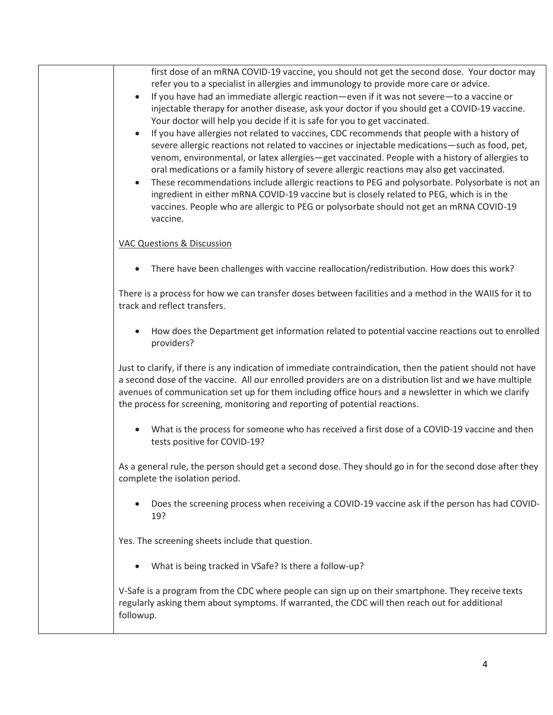| first dose of an mRNA COVID-19 vaccine, you should not get the second dose. Your doctor may<br>refer you to a specialist in allergies and immunology to provide more care or advice.                                                                                                                                                                                                                                                                                                                                                                                                                                                                                                                                          |
|-------------------------------------------------------------------------------------------------------------------------------------------------------------------------------------------------------------------------------------------------------------------------------------------------------------------------------------------------------------------------------------------------------------------------------------------------------------------------------------------------------------------------------------------------------------------------------------------------------------------------------------------------------------------------------------------------------------------------------|
| If you have had an immediate allergic reaction—even if it was not severe—to a vaccine or<br>$\bullet$<br>injectable therapy for another disease, ask your doctor if you should get a COVID-19 vaccine.<br>Your doctor will help you decide if it is safe for you to get vaccinated.                                                                                                                                                                                                                                                                                                                                                                                                                                           |
| If you have allergies not related to vaccines, CDC recommends that people with a history of<br>$\bullet$<br>severe allergic reactions not related to vaccines or injectable medications-such as food, pet,<br>venom, environmental, or latex allergies-get vaccinated. People with a history of allergies to<br>oral medications or a family history of severe allergic reactions may also get vaccinated.<br>These recommendations include allergic reactions to PEG and polysorbate. Polysorbate is not an<br>$\bullet$<br>ingredient in either mRNA COVID-19 vaccine but is closely related to PEG, which is in the<br>vaccines. People who are allergic to PEG or polysorbate should not get an mRNA COVID-19<br>vaccine. |
| <b>VAC Questions &amp; Discussion</b>                                                                                                                                                                                                                                                                                                                                                                                                                                                                                                                                                                                                                                                                                         |
| There have been challenges with vaccine reallocation/redistribution. How does this work?<br>$\bullet$                                                                                                                                                                                                                                                                                                                                                                                                                                                                                                                                                                                                                         |
| There is a process for how we can transfer doses between facilities and a method in the WAIIS for it to<br>track and reflect transfers.                                                                                                                                                                                                                                                                                                                                                                                                                                                                                                                                                                                       |
| How does the Department get information related to potential vaccine reactions out to enrolled<br>$\bullet$<br>providers?                                                                                                                                                                                                                                                                                                                                                                                                                                                                                                                                                                                                     |
| Just to clarify, if there is any indication of immediate contraindication, then the patient should not have<br>a second dose of the vaccine. All our enrolled providers are on a distribution list and we have multiple<br>avenues of communication set up for them including office hours and a newsletter in which we clarify<br>the process for screening, monitoring and reporting of potential reactions.                                                                                                                                                                                                                                                                                                                |
| What is the process for someone who has received a first dose of a COVID-19 vaccine and then<br>tests positive for COVID-19?                                                                                                                                                                                                                                                                                                                                                                                                                                                                                                                                                                                                  |
| As a general rule, the person should get a second dose. They should go in for the second dose after they<br>complete the isolation period.                                                                                                                                                                                                                                                                                                                                                                                                                                                                                                                                                                                    |
| Does the screening process when receiving a COVID-19 vaccine ask if the person has had COVID-<br>$\bullet$<br>19?                                                                                                                                                                                                                                                                                                                                                                                                                                                                                                                                                                                                             |
| Yes. The screening sheets include that question.                                                                                                                                                                                                                                                                                                                                                                                                                                                                                                                                                                                                                                                                              |
| What is being tracked in VSafe? Is there a follow-up?                                                                                                                                                                                                                                                                                                                                                                                                                                                                                                                                                                                                                                                                         |
| V-Safe is a program from the CDC where people can sign up on their smartphone. They receive texts<br>regularly asking them about symptoms. If warranted, the CDC will then reach out for additional<br>followup.                                                                                                                                                                                                                                                                                                                                                                                                                                                                                                              |